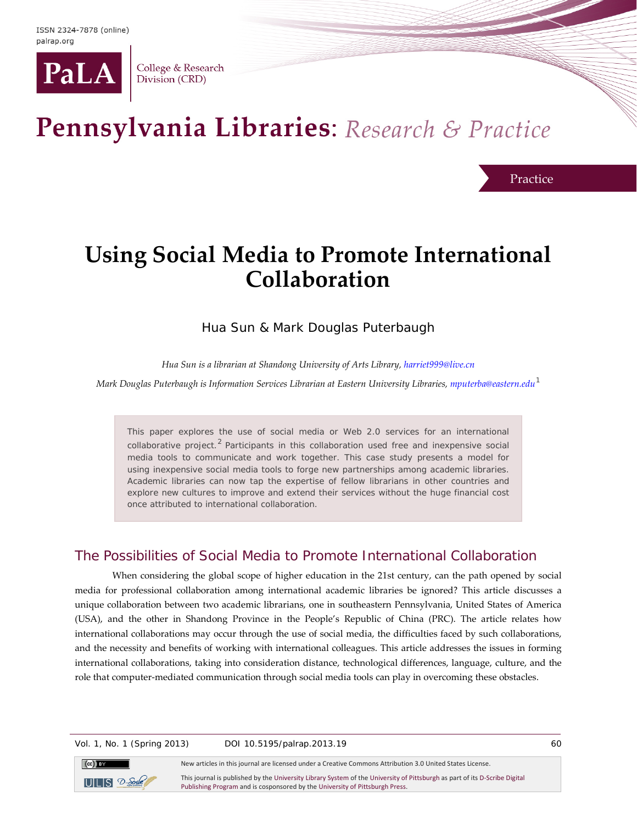

College & Research Division (CRD)

# Pennsylvania Libraries: Research & Practice

Practice

# **Using Social Media to Promote International Collaboration**

# Hua Sun & Mark Douglas Puterbaugh

*Hua Sun is a librarian at Shandong University of Arts Library[, harriet999@live.cn](mailto:harriet999@live.cn)*

*Mark Douglas Puterbaugh is Information Services Librarian at Eastern University Libraries[, mputerba@eastern.edu](mailto:mputerba@eastern.edu)[1](#page-12-0)*

This paper explores the use of social media or Web 2.0 services for an international collaborative project. $2^2$  $2^2$  Participants in this collaboration used free and inexpensive social media tools to communicate and work together. This case study presents a model for using inexpensive social media tools to forge new partnerships among academic libraries. Academic libraries can now tap the expertise of fellow librarians in other countries and explore new cultures to improve and extend their services without the huge financial cost once attributed to international collaboration.

# The Possibilities of Social Media to Promote International Collaboration

When considering the global scope of higher education in the 21st century, can the path opened by social media for professional collaboration among international academic libraries be ignored? This article discusses a unique collaboration between two academic librarians, one in southeastern Pennsylvania, United States of America (USA), and the other in Shandong Province in the People's Republic of China (PRC). The article relates how international collaborations may occur through the use of social media, the difficulties faced by such collaborations, and the necessity and benefits of working with international colleagues. This article addresses the issues in forming international collaborations, taking into consideration distance, technological differences, language, culture, and the role that computer-mediated communication through social media tools can play in overcoming these obstacles.

Vol. 1, No. 1 (Spring 2013) DOI 10.5195/palrap.2013.19 60



New articles in this journal are licensed under a Creative Commons Attribution 3.0 United States License.

This journal is published by th[e University Library System](http://www.library.pitt.edu/) of th[e University of Pittsburgh](http://www.pitt.edu/) as part of it[s D-Scribe Digital](http://www.library.pitt.edu/articles/digpubtype/index.html)  [Publishing Program](http://www.library.pitt.edu/articles/digpubtype/index.html) and is cosponsored by th[e University of Pittsburgh Press.](http://upress.pitt.edu/)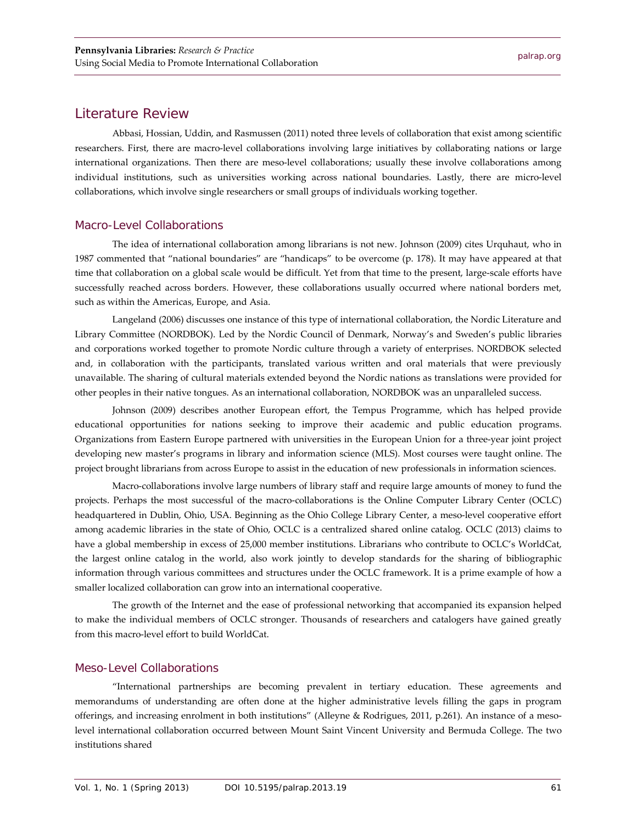### Literature Review

Abbasi, Hossian, Uddin, and Rasmussen (2011) noted three levels of collaboration that exist among scientific researchers. First, there are macro-level collaborations involving large initiatives by collaborating nations or large international organizations. Then there are meso-level collaborations; usually these involve collaborations among individual institutions, such as universities working across national boundaries. Lastly, there are micro-level collaborations, which involve single researchers or small groups of individuals working together.

#### Macro-Level Collaborations

The idea of international collaboration among librarians is not new. Johnson (2009) cites Urquhaut, who in 1987 commented that "national boundaries" are "handicaps" to be overcome (p. 178). It may have appeared at that time that collaboration on a global scale would be difficult. Yet from that time to the present, large-scale efforts have successfully reached across borders. However, these collaborations usually occurred where national borders met, such as within the Americas, Europe, and Asia.

Langeland (2006) discusses one instance of this type of international collaboration, the Nordic Literature and Library Committee (NORDBOK). Led by the Nordic Council of Denmark, Norway's and Sweden's public libraries and corporations worked together to promote Nordic culture through a variety of enterprises. NORDBOK selected and, in collaboration with the participants, translated various written and oral materials that were previously unavailable. The sharing of cultural materials extended beyond the Nordic nations as translations were provided for other peoples in their native tongues. As an international collaboration, NORDBOK was an unparalleled success.

Johnson (2009) describes another European effort, the Tempus Programme, which has helped provide educational opportunities for nations seeking to improve their academic and public education programs. Organizations from Eastern Europe partnered with universities in the European Union for a three-year joint project developing new master's programs in library and information science (MLS). Most courses were taught online. The project brought librarians from across Europe to assist in the education of new professionals in information sciences.

Macro-collaborations involve large numbers of library staff and require large amounts of money to fund the projects. Perhaps the most successful of the macro-collaborations is the Online Computer Library Center (OCLC) headquartered in Dublin, Ohio, USA. Beginning as the Ohio College Library Center, a meso-level cooperative effort among academic libraries in the state of Ohio, OCLC is a centralized shared online catalog. OCLC (2013) claims to have a global membership in excess of 25,000 member institutions. Librarians who contribute to OCLC's WorldCat, the largest online catalog in the world, also work jointly to develop standards for the sharing of bibliographic information through various committees and structures under the OCLC framework. It is a prime example of how a smaller localized collaboration can grow into an international cooperative.

The growth of the Internet and the ease of professional networking that accompanied its expansion helped to make the individual members of OCLC stronger. Thousands of researchers and catalogers have gained greatly from this macro-level effort to build WorldCat.

#### Meso-Level Collaborations

"International partnerships are becoming prevalent in tertiary education. These agreements and memorandums of understanding are often done at the higher administrative levels filling the gaps in program offerings, and increasing enrolment in both institutions" (Alleyne & Rodrigues, 2011, p.261). An instance of a mesolevel international collaboration occurred between Mount Saint Vincent University and Bermuda College. The two institutions shared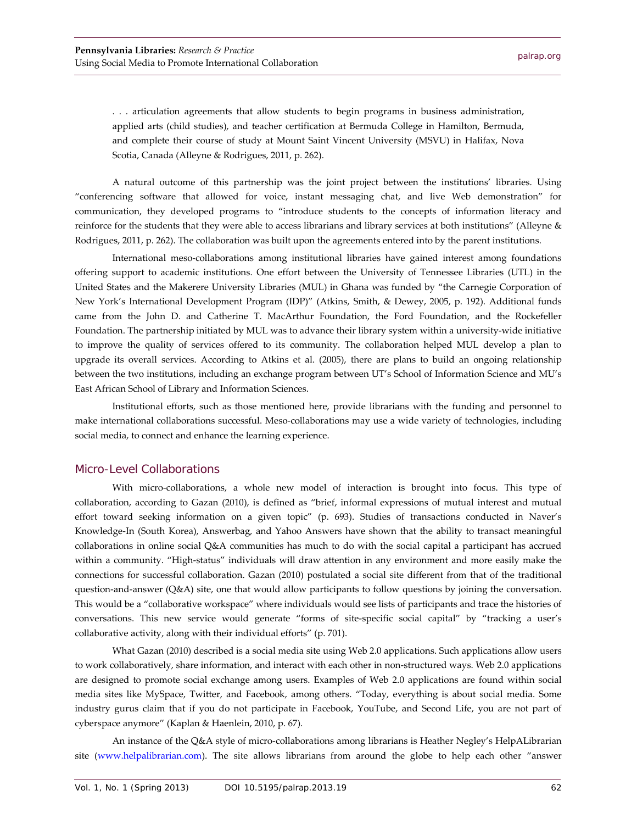. . . articulation agreements that allow students to begin programs in business administration, applied arts (child studies), and teacher certification at Bermuda College in Hamilton, Bermuda, and complete their course of study at Mount Saint Vincent University (MSVU) in Halifax, Nova Scotia, Canada (Alleyne & Rodrigues, 2011, p. 262).

A natural outcome of this partnership was the joint project between the institutions' libraries. Using "conferencing software that allowed for voice, instant messaging chat, and live Web demonstration" for communication, they developed programs to "introduce students to the concepts of information literacy and reinforce for the students that they were able to access librarians and library services at both institutions" (Alleyne & Rodrigues, 2011, p. 262). The collaboration was built upon the agreements entered into by the parent institutions.

International meso-collaborations among institutional libraries have gained interest among foundations offering support to academic institutions. One effort between the University of Tennessee Libraries (UTL) in the United States and the Makerere University Libraries (MUL) in Ghana was funded by "the Carnegie Corporation of New York's International Development Program (IDP)" (Atkins, Smith, & Dewey, 2005, p. 192). Additional funds came from the John D. and Catherine T. MacArthur Foundation, the Ford Foundation, and the Rockefeller Foundation. The partnership initiated by MUL was to advance their library system within a university-wide initiative to improve the quality of services offered to its community. The collaboration helped MUL develop a plan to upgrade its overall services. According to Atkins et al. (2005), there are plans to build an ongoing relationship between the two institutions, including an exchange program between UT's School of Information Science and MU's East African School of Library and Information Sciences.

Institutional efforts, such as those mentioned here, provide librarians with the funding and personnel to make international collaborations successful. Meso-collaborations may use a wide variety of technologies, including social media, to connect and enhance the learning experience.

#### Micro-Level Collaborations

With micro-collaborations, a whole new model of interaction is brought into focus. This type of collaboration, according to Gazan (2010), is defined as "brief, informal expressions of mutual interest and mutual effort toward seeking information on a given topic" (p. 693). Studies of transactions conducted in Naver's Knowledge-In (South Korea), Answerbag, and Yahoo Answers have shown that the ability to transact meaningful collaborations in online social Q&A communities has much to do with the social capital a participant has accrued within a community. "High-status" individuals will draw attention in any environment and more easily make the connections for successful collaboration. Gazan (2010) postulated a social site different from that of the traditional question-and-answer (Q&A) site, one that would allow participants to follow questions by joining the conversation. This would be a "collaborative workspace" where individuals would see lists of participants and trace the histories of conversations. This new service would generate "forms of site-specific social capital" by "tracking a user's collaborative activity, along with their individual efforts" (p. 701).

What Gazan (2010) described is a social media site using Web 2.0 applications. Such applications allow users to work collaboratively, share information, and interact with each other in non-structured ways. Web 2.0 applications are designed to promote social exchange among users. Examples of Web 2.0 applications are found within social media sites like MySpace, Twitter, and Facebook, among others. "Today, everything is about social media. Some industry gurus claim that if you do not participate in Facebook, YouTube, and Second Life, you are not part of cyberspace anymore" (Kaplan & Haenlein, 2010, p. 67).

An instance of the Q&A style of micro-collaborations among librarians is Heather Negley's HelpALibrarian site [\(www.helpalibrarian.com\)](http://www.helpalibrarian.com/). The site allows librarians from around the globe to help each other "answer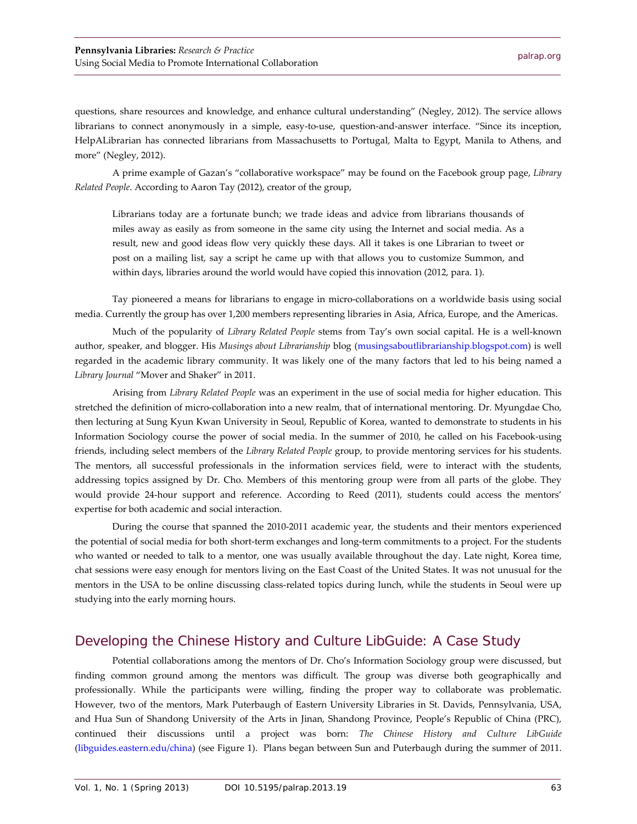questions, share resources and knowledge, and enhance cultural understanding" (Negley, 2012). The service allows librarians to connect anonymously in a simple, easy-to-use, question-and-answer interface. "Since its inception, HelpALibrarian has connected librarians from Massachusetts to Portugal, Malta to Egypt, Manila to Athens, and more" (Negley, 2012).

A prime example of Gazan's "collaborative workspace" may be found on the Facebook group page, *Library Related People*. According to Aaron Tay (2012), creator of the group,

Librarians today are a fortunate bunch; we trade ideas and advice from librarians thousands of miles away as easily as from someone in the same city using the Internet and social media. As a result, new and good ideas flow very quickly these days. All it takes is one Librarian to tweet or post on a mailing list, say a script he came up with that allows you to customize Summon, and within days, libraries around the world would have copied this innovation (2012, para. 1).

Tay pioneered a means for librarians to engage in micro-collaborations on a worldwide basis using social media. Currently the group has over 1,200 members representing libraries in Asia, Africa, Europe, and the Americas.

Much of the popularity of *Library Related People* stems from Tay's own social capital. He is a well-known author, speaker, and blogger. His *Musings about Librarianship* blog [\(musingsaboutlibrarianship.blogspot.com\)](http://musingsaboutlibrarianship.blogspot.com/) is well regarded in the academic library community. It was likely one of the many factors that led to his being named a *Library Journal* "Mover and Shaker" in 2011.

Arising from *Library Related People* was an experiment in the use of social media for higher education. This stretched the definition of micro-collaboration into a new realm, that of international mentoring. Dr. Myungdae Cho, then lecturing at Sung Kyun Kwan University in Seoul, Republic of Korea, wanted to demonstrate to students in his Information Sociology course the power of social media. In the summer of 2010, he called on his Facebook-using friends, including select members of the *Library Related People* group, to provide mentoring services for his students. The mentors, all successful professionals in the information services field, were to interact with the students, addressing topics assigned by Dr. Cho. Members of this mentoring group were from all parts of the globe. They would provide 24-hour support and reference. According to Reed (2011), students could access the mentors' expertise for both academic and social interaction.

During the course that spanned the 2010-2011 academic year, the students and their mentors experienced the potential of social media for both short-term exchanges and long-term commitments to a project. For the students who wanted or needed to talk to a mentor, one was usually available throughout the day. Late night, Korea time, chat sessions were easy enough for mentors living on the East Coast of the United States. It was not unusual for the mentors in the USA to be online discussing class-related topics during lunch, while the students in Seoul were up studying into the early morning hours.

# Developing the Chinese History and Culture LibGuide: A Case Study

Potential collaborations among the mentors of Dr. Cho's Information Sociology group were discussed, but finding common ground among the mentors was difficult. The group was diverse both geographically and professionally. While the participants were willing, finding the proper way to collaborate was problematic. However, two of the mentors, Mark Puterbaugh of Eastern University Libraries in St. Davids, Pennsylvania, USA, and Hua Sun of Shandong University of the Arts in Jinan, Shandong Province, People's Republic of China (PRC), continued their discussions until a project was born: *The Chinese History and Culture LibGuide*  [\(libguides.eastern.edu/china\)](http://libguides.eastern.edu/china) (see Figure 1). Plans began between Sun and Puterbaugh during the summer of 2011.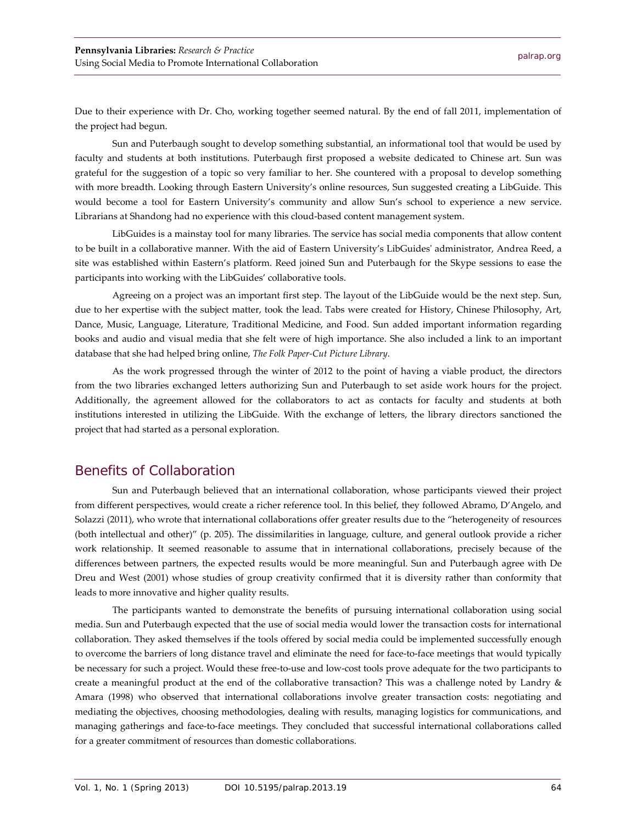Due to their experience with Dr. Cho, working together seemed natural. By the end of fall 2011, implementation of the project had begun.

Sun and Puterbaugh sought to develop something substantial, an informational tool that would be used by faculty and students at both institutions. Puterbaugh first proposed a website dedicated to Chinese art. Sun was grateful for the suggestion of a topic so very familiar to her. She countered with a proposal to develop something with more breadth. Looking through Eastern University's online resources, Sun suggested creating a LibGuide. This would become a tool for Eastern University's community and allow Sun's school to experience a new service. Librarians at Shandong had no experience with this cloud-based content management system.

LibGuides is a mainstay tool for many libraries. The service has social media components that allow content to be built in a collaborative manner. With the aid of Eastern University's LibGuides' administrator, Andrea Reed, a site was established within Eastern's platform. Reed joined Sun and Puterbaugh for the Skype sessions to ease the participants into working with the LibGuides' collaborative tools.

Agreeing on a project was an important first step. The layout of the LibGuide would be the next step. Sun, due to her expertise with the subject matter, took the lead. Tabs were created for History, Chinese Philosophy, Art, Dance, Music, Language, Literature, Traditional Medicine, and Food. Sun added important information regarding books and audio and visual media that she felt were of high importance. She also included a link to an important database that she had helped bring online, *The Folk Paper-Cut Picture Library.* 

As the work progressed through the winter of 2012 to the point of having a viable product, the directors from the two libraries exchanged letters authorizing Sun and Puterbaugh to set aside work hours for the project. Additionally, the agreement allowed for the collaborators to act as contacts for faculty and students at both institutions interested in utilizing the LibGuide. With the exchange of letters, the library directors sanctioned the project that had started as a personal exploration.

# Benefits of Collaboration

Sun and Puterbaugh believed that an international collaboration, whose participants viewed their project from different perspectives, would create a richer reference tool. In this belief, they followed Abramo, D'Angelo, and Solazzi (2011), who wrote that international collaborations offer greater results due to the "heterogeneity of resources (both intellectual and other)" (p. 205). The dissimilarities in language, culture, and general outlook provide a richer work relationship. It seemed reasonable to assume that in international collaborations, precisely because of the differences between partners, the expected results would be more meaningful. Sun and Puterbaugh agree with De Dreu and West (2001) whose studies of group creativity confirmed that it is diversity rather than conformity that leads to more innovative and higher quality results.

The participants wanted to demonstrate the benefits of pursuing international collaboration using social media. Sun and Puterbaugh expected that the use of social media would lower the transaction costs for international collaboration. They asked themselves if the tools offered by social media could be implemented successfully enough to overcome the barriers of long distance travel and eliminate the need for face-to-face meetings that would typically be necessary for such a project. Would these free-to-use and low-cost tools prove adequate for the two participants to create a meaningful product at the end of the collaborative transaction? This was a challenge noted by Landry & Amara (1998) who observed that international collaborations involve greater transaction costs: negotiating and mediating the objectives, choosing methodologies, dealing with results, managing logistics for communications, and managing gatherings and face-to-face meetings. They concluded that successful international collaborations called for a greater commitment of resources than domestic collaborations.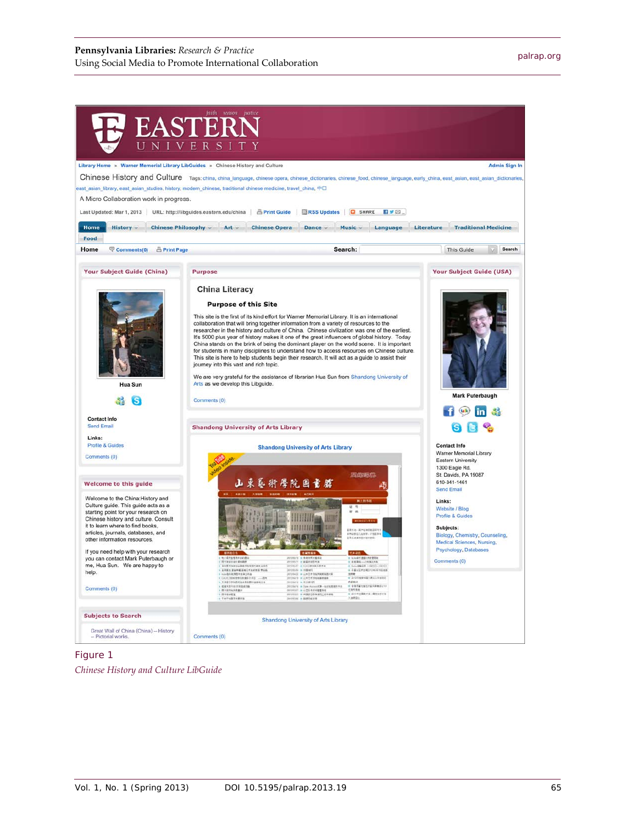

Figure 1 *Chinese History and Culture LibGuide*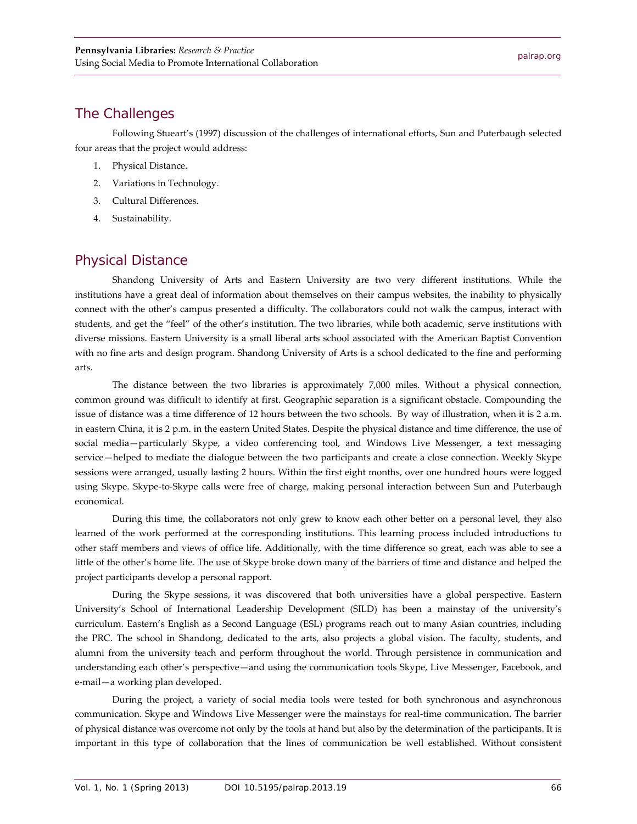# The Challenges

Following Stueart's (1997) discussion of the challenges of international efforts, Sun and Puterbaugh selected four areas that the project would address:

- 1. Physical Distance.
- 2. Variations in Technology.
- 3. Cultural Differences.
- 4. Sustainability.

# Physical Distance

Shandong University of Arts and Eastern University are two very different institutions. While the institutions have a great deal of information about themselves on their campus websites, the inability to physically connect with the other's campus presented a difficulty. The collaborators could not walk the campus, interact with students, and get the "feel" of the other's institution. The two libraries, while both academic, serve institutions with diverse missions. Eastern University is a small liberal arts school associated with the American Baptist Convention with no fine arts and design program. Shandong University of Arts is a school dedicated to the fine and performing arts.

The distance between the two libraries is approximately 7,000 miles. Without a physical connection, common ground was difficult to identify at first. Geographic separation is a significant obstacle. Compounding the issue of distance was a time difference of 12 hours between the two schools. By way of illustration, when it is 2 a.m. in eastern China, it is 2 p.m. in the eastern United States. Despite the physical distance and time difference, the use of social media—particularly Skype, a video conferencing tool, and Windows Live Messenger, a text messaging service—helped to mediate the dialogue between the two participants and create a close connection. Weekly Skype sessions were arranged, usually lasting 2 hours. Within the first eight months, over one hundred hours were logged using Skype. Skype-to-Skype calls were free of charge, making personal interaction between Sun and Puterbaugh economical.

During this time, the collaborators not only grew to know each other better on a personal level, they also learned of the work performed at the corresponding institutions. This learning process included introductions to other staff members and views of office life. Additionally, with the time difference so great, each was able to see a little of the other's home life. The use of Skype broke down many of the barriers of time and distance and helped the project participants develop a personal rapport.

During the Skype sessions, it was discovered that both universities have a global perspective. Eastern University's School of International Leadership Development (SILD) has been a mainstay of the university's curriculum. Eastern's English as a Second Language (ESL) programs reach out to many Asian countries, including the PRC. The school in Shandong, dedicated to the arts, also projects a global vision. The faculty, students, and alumni from the university teach and perform throughout the world. Through persistence in communication and understanding each other's perspective—and using the communication tools Skype, Live Messenger, Facebook, and e-mail—a working plan developed.

During the project, a variety of social media tools were tested for both synchronous and asynchronous communication. Skype and Windows Live Messenger were the mainstays for real-time communication. The barrier of physical distance was overcome not only by the tools at hand but also by the determination of the participants. It is important in this type of collaboration that the lines of communication be well established. Without consistent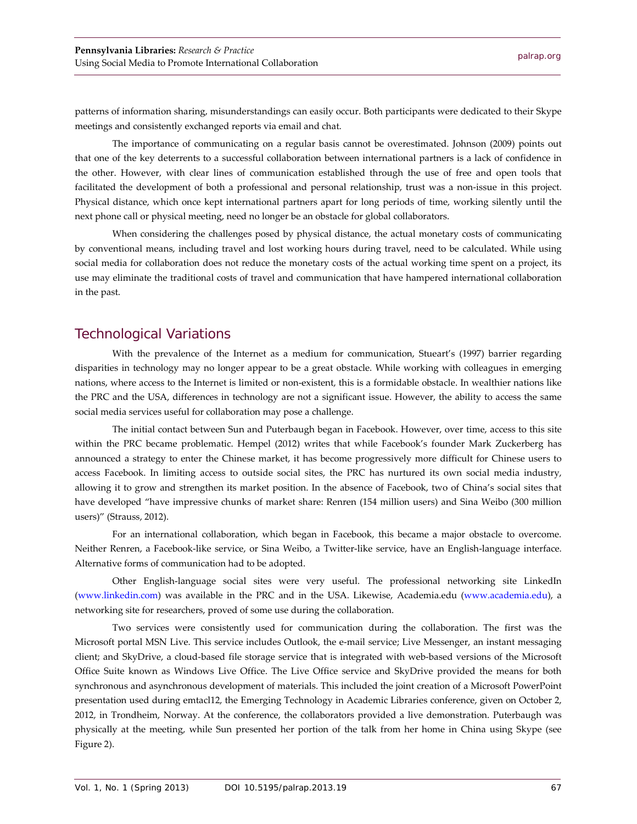patterns of information sharing, misunderstandings can easily occur. Both participants were dedicated to their Skype meetings and consistently exchanged reports via email and chat.

The importance of communicating on a regular basis cannot be overestimated. Johnson (2009) points out that one of the key deterrents to a successful collaboration between international partners is a lack of confidence in the other. However, with clear lines of communication established through the use of free and open tools that facilitated the development of both a professional and personal relationship, trust was a non-issue in this project. Physical distance, which once kept international partners apart for long periods of time, working silently until the next phone call or physical meeting, need no longer be an obstacle for global collaborators.

When considering the challenges posed by physical distance, the actual monetary costs of communicating by conventional means, including travel and lost working hours during travel, need to be calculated. While using social media for collaboration does not reduce the monetary costs of the actual working time spent on a project, its use may eliminate the traditional costs of travel and communication that have hampered international collaboration in the past.

#### Technological Variations

With the prevalence of the Internet as a medium for communication, Stueart's (1997) barrier regarding disparities in technology may no longer appear to be a great obstacle. While working with colleagues in emerging nations, where access to the Internet is limited or non-existent, this is a formidable obstacle. In wealthier nations like the PRC and the USA, differences in technology are not a significant issue. However, the ability to access the same social media services useful for collaboration may pose a challenge.

The initial contact between Sun and Puterbaugh began in Facebook. However, over time, access to this site within the PRC became problematic. Hempel (2012) writes that while Facebook's founder Mark Zuckerberg has announced a strategy to enter the Chinese market, it has become progressively more difficult for Chinese users to access Facebook. In limiting access to outside social sites, the PRC has nurtured its own social media industry, allowing it to grow and strengthen its market position. In the absence of Facebook, two of China's social sites that have developed "have impressive chunks of market share: Renren (154 million users) and Sina Weibo (300 million users)" (Strauss, 2012).

For an international collaboration, which began in Facebook, this became a major obstacle to overcome. Neither Renren, a Facebook-like service, or Sina Weibo, a Twitter-like service, have an English-language interface. Alternative forms of communication had to be adopted.

Other English-language social sites were very useful. The professional networking site LinkedIn [\(www.linkedin.com\)](http://www.linkedin.com/) was available in the PRC and in the USA. Likewise, Academia.edu [\(www.academia.edu\)](http://www.academia.edu/), a networking site for researchers, proved of some use during the collaboration.

Two services were consistently used for communication during the collaboration. The first was the Microsoft portal MSN Live. This service includes Outlook, the e-mail service; Live Messenger, an instant messaging client; and SkyDrive, a cloud-based file storage service that is integrated with web-based versions of the Microsoft Office Suite known as Windows Live Office. The Live Office service and SkyDrive provided the means for both synchronous and asynchronous development of materials. This included the joint creation of a Microsoft PowerPoint presentation used during emtacl12, the Emerging Technology in Academic Libraries conference, given on October 2, 2012, in Trondheim, Norway. At the conference, the collaborators provided a live demonstration. Puterbaugh was physically at the meeting, while Sun presented her portion of the talk from her home in China using Skype (see Figure 2).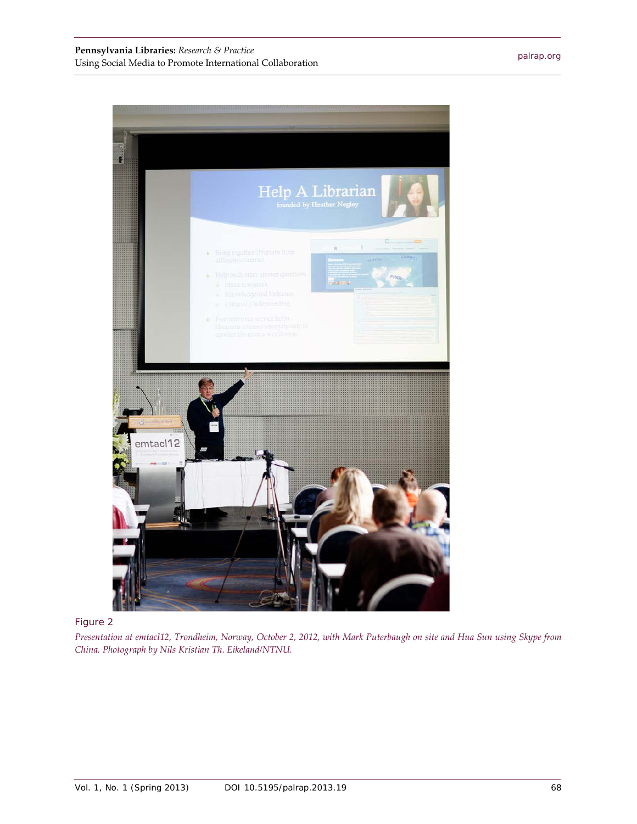

Figure 2

*Presentation at emtacl12, Trondheim, Norway, October 2, 2012, with Mark Puterbaugh on site and Hua Sun using Skype from China. Photograph by Nils Kristian Th. Eikeland/NTNU.*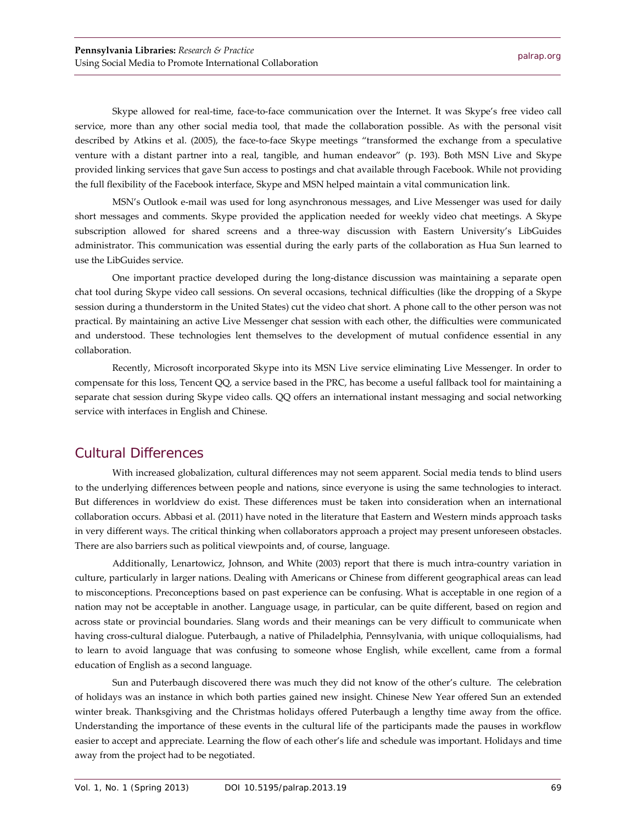Skype allowed for real-time, face-to-face communication over the Internet. It was Skype's free video call service, more than any other social media tool, that made the collaboration possible. As with the personal visit described by Atkins et al. (2005), the face-to-face Skype meetings "transformed the exchange from a speculative venture with a distant partner into a real, tangible, and human endeavor" (p. 193). Both MSN Live and Skype provided linking services that gave Sun access to postings and chat available through Facebook. While not providing the full flexibility of the Facebook interface, Skype and MSN helped maintain a vital communication link.

MSN's Outlook e-mail was used for long asynchronous messages, and Live Messenger was used for daily short messages and comments. Skype provided the application needed for weekly video chat meetings. A Skype subscription allowed for shared screens and a three-way discussion with Eastern University's LibGuides administrator. This communication was essential during the early parts of the collaboration as Hua Sun learned to use the LibGuides service.

One important practice developed during the long-distance discussion was maintaining a separate open chat tool during Skype video call sessions. On several occasions, technical difficulties (like the dropping of a Skype session during a thunderstorm in the United States) cut the video chat short. A phone call to the other person was not practical. By maintaining an active Live Messenger chat session with each other, the difficulties were communicated and understood. These technologies lent themselves to the development of mutual confidence essential in any collaboration.

Recently, Microsoft incorporated Skype into its MSN Live service eliminating Live Messenger. In order to compensate for this loss, Tencent QQ, a service based in the PRC, has become a useful fallback tool for maintaining a separate chat session during Skype video calls. QQ offers an international instant messaging and social networking service with interfaces in English and Chinese.

# Cultural Differences

With increased globalization, cultural differences may not seem apparent. Social media tends to blind users to the underlying differences between people and nations, since everyone is using the same technologies to interact. But differences in worldview do exist. These differences must be taken into consideration when an international collaboration occurs. Abbasi et al. (2011) have noted in the literature that Eastern and Western minds approach tasks in very different ways. The critical thinking when collaborators approach a project may present unforeseen obstacles. There are also barriers such as political viewpoints and, of course, language.

Additionally, Lenartowicz, Johnson, and White (2003) report that there is much intra-country variation in culture, particularly in larger nations. Dealing with Americans or Chinese from different geographical areas can lead to misconceptions. Preconceptions based on past experience can be confusing. What is acceptable in one region of a nation may not be acceptable in another. Language usage, in particular, can be quite different, based on region and across state or provincial boundaries. Slang words and their meanings can be very difficult to communicate when having cross-cultural dialogue. Puterbaugh, a native of Philadelphia, Pennsylvania, with unique colloquialisms, had to learn to avoid language that was confusing to someone whose English, while excellent, came from a formal education of English as a second language.

Sun and Puterbaugh discovered there was much they did not know of the other's culture. The celebration of holidays was an instance in which both parties gained new insight. Chinese New Year offered Sun an extended winter break. Thanksgiving and the Christmas holidays offered Puterbaugh a lengthy time away from the office. Understanding the importance of these events in the cultural life of the participants made the pauses in workflow easier to accept and appreciate. Learning the flow of each other's life and schedule was important. Holidays and time away from the project had to be negotiated.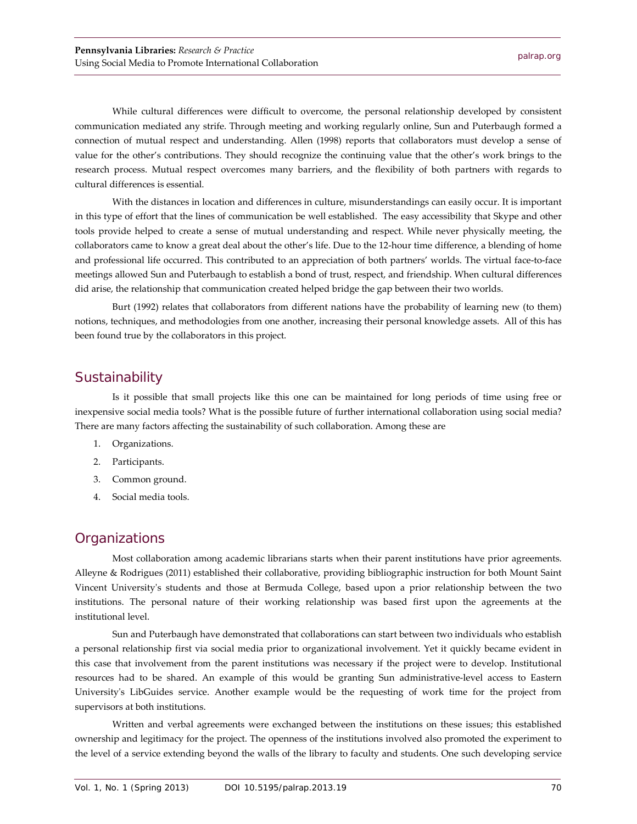While cultural differences were difficult to overcome, the personal relationship developed by consistent communication mediated any strife. Through meeting and working regularly online, Sun and Puterbaugh formed a connection of mutual respect and understanding. Allen (1998) reports that collaborators must develop a sense of value for the other's contributions. They should recognize the continuing value that the other's work brings to the research process. Mutual respect overcomes many barriers, and the flexibility of both partners with regards to cultural differences is essential.

With the distances in location and differences in culture, misunderstandings can easily occur. It is important in this type of effort that the lines of communication be well established. The easy accessibility that Skype and other tools provide helped to create a sense of mutual understanding and respect. While never physically meeting, the collaborators came to know a great deal about the other's life. Due to the 12-hour time difference, a blending of home and professional life occurred. This contributed to an appreciation of both partners' worlds. The virtual face-to-face meetings allowed Sun and Puterbaugh to establish a bond of trust, respect, and friendship. When cultural differences did arise, the relationship that communication created helped bridge the gap between their two worlds.

Burt (1992) relates that collaborators from different nations have the probability of learning new (to them) notions, techniques, and methodologies from one another, increasing their personal knowledge assets. All of this has been found true by the collaborators in this project.

# **Sustainability**

Is it possible that small projects like this one can be maintained for long periods of time using free or inexpensive social media tools? What is the possible future of further international collaboration using social media? There are many factors affecting the sustainability of such collaboration. Among these are

- 1. Organizations.
- 2. Participants.
- 3. Common ground.
- 4. Social media tools.

# **Organizations**

Most collaboration among academic librarians starts when their parent institutions have prior agreements. Alleyne & Rodrigues (2011) established their collaborative, providing bibliographic instruction for both Mount Saint Vincent University's students and those at Bermuda College, based upon a prior relationship between the two institutions. The personal nature of their working relationship was based first upon the agreements at the institutional level.

Sun and Puterbaugh have demonstrated that collaborations can start between two individuals who establish a personal relationship first via social media prior to organizational involvement. Yet it quickly became evident in this case that involvement from the parent institutions was necessary if the project were to develop. Institutional resources had to be shared. An example of this would be granting Sun administrative-level access to Eastern University's LibGuides service. Another example would be the requesting of work time for the project from supervisors at both institutions.

Written and verbal agreements were exchanged between the institutions on these issues; this established ownership and legitimacy for the project. The openness of the institutions involved also promoted the experiment to the level of a service extending beyond the walls of the library to faculty and students. One such developing service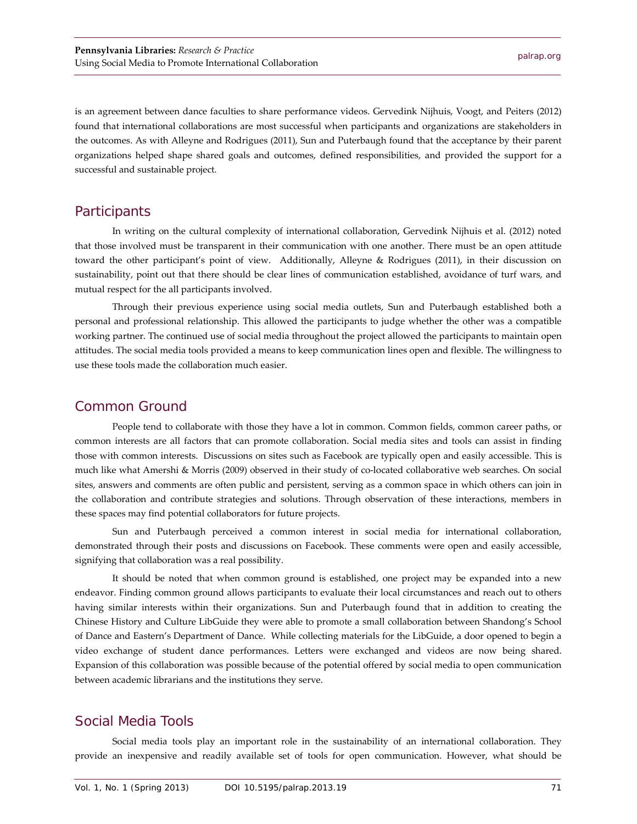is an agreement between dance faculties to share performance videos. Gervedink Nijhuis, Voogt, and Peiters (2012) found that international collaborations are most successful when participants and organizations are stakeholders in the outcomes. As with Alleyne and Rodrigues (2011), Sun and Puterbaugh found that the acceptance by their parent organizations helped shape shared goals and outcomes, defined responsibilities, and provided the support for a successful and sustainable project.

#### **Participants**

In writing on the cultural complexity of international collaboration, Gervedink Nijhuis et al. (2012) noted that those involved must be transparent in their communication with one another. There must be an open attitude toward the other participant's point of view. Additionally, Alleyne & Rodrigues (2011), in their discussion on sustainability, point out that there should be clear lines of communication established, avoidance of turf wars, and mutual respect for the all participants involved.

Through their previous experience using social media outlets, Sun and Puterbaugh established both a personal and professional relationship. This allowed the participants to judge whether the other was a compatible working partner. The continued use of social media throughout the project allowed the participants to maintain open attitudes. The social media tools provided a means to keep communication lines open and flexible. The willingness to use these tools made the collaboration much easier.

#### Common Ground

People tend to collaborate with those they have a lot in common. Common fields, common career paths, or common interests are all factors that can promote collaboration. Social media sites and tools can assist in finding those with common interests. Discussions on sites such as Facebook are typically open and easily accessible. This is much like what Amershi & Morris (2009) observed in their study of co-located collaborative web searches. On social sites, answers and comments are often public and persistent, serving as a common space in which others can join in the collaboration and contribute strategies and solutions. Through observation of these interactions, members in these spaces may find potential collaborators for future projects.

Sun and Puterbaugh perceived a common interest in social media for international collaboration, demonstrated through their posts and discussions on Facebook. These comments were open and easily accessible, signifying that collaboration was a real possibility.

It should be noted that when common ground is established, one project may be expanded into a new endeavor. Finding common ground allows participants to evaluate their local circumstances and reach out to others having similar interests within their organizations. Sun and Puterbaugh found that in addition to creating the Chinese History and Culture LibGuide they were able to promote a small collaboration between Shandong's School of Dance and Eastern's Department of Dance. While collecting materials for the LibGuide, a door opened to begin a video exchange of student dance performances. Letters were exchanged and videos are now being shared. Expansion of this collaboration was possible because of the potential offered by social media to open communication between academic librarians and the institutions they serve.

# Social Media Tools

Social media tools play an important role in the sustainability of an international collaboration. They provide an inexpensive and readily available set of tools for open communication. However, what should be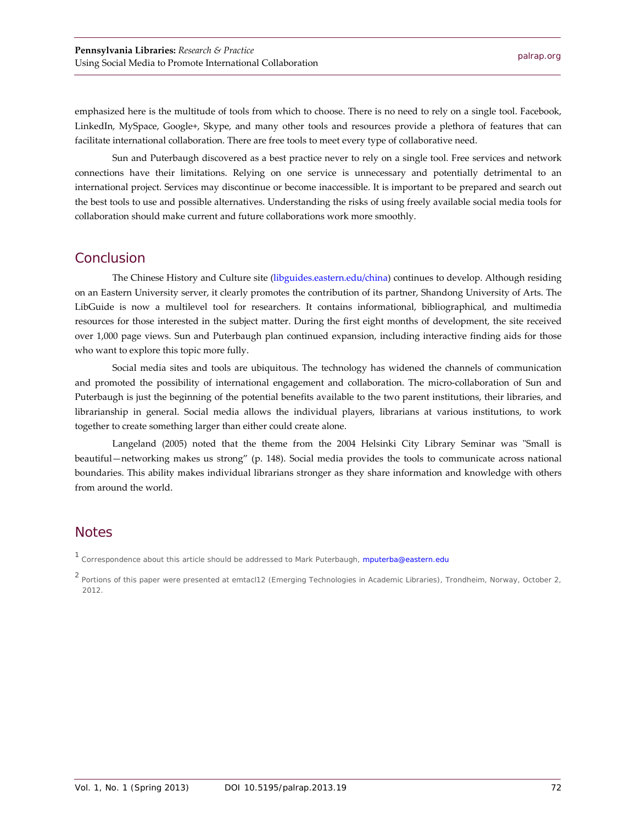<span id="page-12-0"></span>emphasized here is the multitude of tools from which to choose. There is no need to rely on a single tool. Facebook, LinkedIn, MySpace, Google+, Skype, and many other tools and resources provide a plethora of features that can facilitate international collaboration. There are free tools to meet every type of collaborative need.

Sun and Puterbaugh discovered as a best practice never to rely on a single tool. Free services and network connections have their limitations. Relying on one service is unnecessary and potentially detrimental to an international project. Services may discontinue or become inaccessible. It is important to be prepared and search out the best tools to use and possible alternatives. Understanding the risks of using freely available social media tools for collaboration should make current and future collaborations work more smoothly.

#### **Conclusion**

The Chinese History and Culture site [\(libguides.eastern.edu/china\)](http://libguides.eastern.edu/china) continues to develop. Although residing on an Eastern University server, it clearly promotes the contribution of its partner, Shandong University of Arts. The LibGuide is now a multilevel tool for researchers. It contains informational, bibliographical, and multimedia resources for those interested in the subject matter. During the first eight months of development, the site received over 1,000 page views. Sun and Puterbaugh plan continued expansion, including interactive finding aids for those who want to explore this topic more fully.

Social media sites and tools are ubiquitous. The technology has widened the channels of communication and promoted the possibility of international engagement and collaboration. The micro-collaboration of Sun and Puterbaugh is just the beginning of the potential benefits available to the two parent institutions, their libraries, and librarianship in general. Social media allows the individual players, librarians at various institutions, to work together to create something larger than either could create alone.

Langeland (2005) noted that the theme from the 2004 Helsinki City Library Seminar was "Small is beautiful—networking makes us strong" (p. 148). Social media provides the tools to communicate across national boundaries. This ability makes individual librarians stronger as they share information and knowledge with others from around the world.

# **Notes**

<sup>1</sup> Correspondence about this article should be addressed to Mark Puterbaugh, [mputerba@eastern.edu](mailto:mputerba@eastern.edu)

<sup>&</sup>lt;sup>2</sup> Portions of this paper were presented at emtacl12 (Emerging Technologies in Academic Libraries), Trondheim, Norway, October 2, 2012.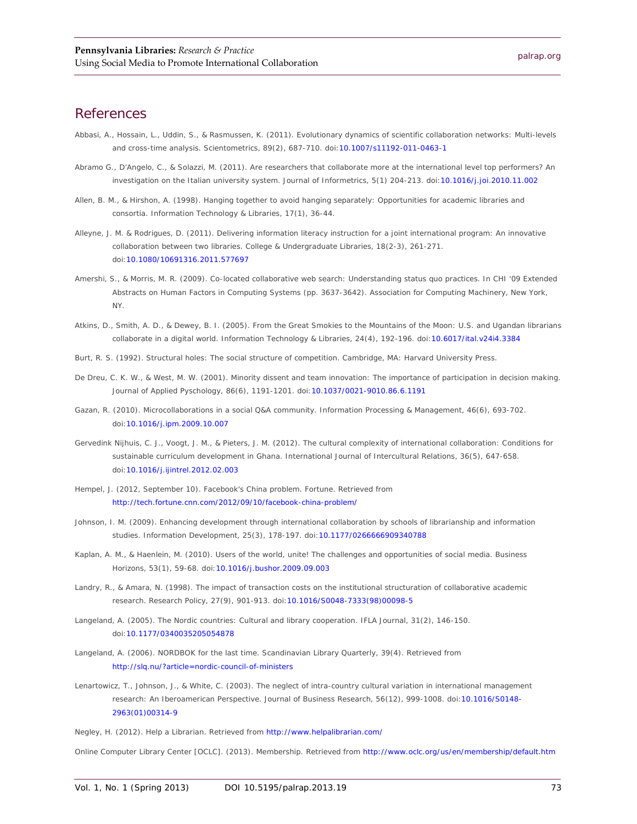#### **References**

- Abbasi, A., Hossain, L., Uddin, S., & Rasmussen, K. (2011). Evolutionary dynamics of scientific collaboration networks: Multi-levels and cross-time analysis. *Scientometrics, 89*(2), 687-710. doi[:10.1007/s11192-011-0463-1](http://dx.doi.org/10.1007/s11192-011-0463-1)
- Abramo G., D'Angelo, C., & Solazzi, M. (2011). Are researchers that collaborate more at the international level top performers? An investigation on the Italian university system. *Journal of Informetrics, 5*(1) 204-213. doi[:10.1016/j.joi.2010.11.002](http://dx.doi.org/10.1016/j.joi.2010.11.002)
- Allen, B. M., & Hirshon, A. (1998). Hanging together to avoid hanging separately: Opportunities for academic libraries and consortia. *Information Technology & Libraries*, *17*(1), 36-44.
- Alleyne, J. M. & Rodrigues, D. (2011). Delivering information literacy instruction for a joint international program: An innovative collaboration between two libraries. *College & Undergraduate Libraries, 18*(2-3), 261-271. doi[:10.1080/10691316.2011.577697](http://dx.doi.org/10.1080/10691316.2011.577697)
- Amershi, S., & Morris, M. R. (2009). Co-located collaborative web search: Understanding status quo practices. In *CHI '09 Extended Abstracts on Human Factors in Computing Systems* (pp. 3637-3642). Association for Computing Machinery, New York, NY.
- Atkins, D., Smith, A. D., & Dewey, B. I. (2005). From the Great Smokies to the Mountains of the Moon: U.S. and Ugandan librarians collaborate in a digital world. *Information Technology & Libraries, 24*(4), 192-196. doi[:10.6017/ital.v24i4.3384](http://dx.doi.org/10.6017/ital.v24i4.3384)
- Burt, R. S. (1992). *Structural holes: The social structure of competition*. Cambridge, MA: Harvard University Press.
- De Dreu, C. K. W., & West, M. W. (2001). Minority dissent and team innovation: The importance of participation in decision making. *Journal of Applied Pyschology, 86*(6), 1191-1201. doi[:10.1037/0021-9010.86.6.1191](http://dx.doi.org/10.1037/0021-9010.86.6.1191)
- Gazan, R. (2010). Microcollaborations in a social Q&A community. *Information Processing & Management, 46*(6), 693-702. doi[:10.1016/j.ipm.2009.10.007](http://dx.doi.org/10.1016/j.ipm.2009.10.007)
- Gervedink Nijhuis, C. J., Voogt, J. M., & Pieters, J. M. (2012). The cultural complexity of international collaboration: Conditions for sustainable curriculum development in Ghana. *International Journal of Intercultural Relations*, *36*(5), 647-658. doi[:10.1016/j.ijintrel.2012.02.003](http://dx.doi.org/10.1016/j.ijintrel.2012.02.003)
- Hempel, J. (2012, September 10). Facebook's China problem. *Fortune*. Retrieved from <http://tech.fortune.cnn.com/2012/09/10/facebook-china-problem/>
- Johnson, I. M. (2009). Enhancing development through international collaboration by schools of librarianship and information studies. *Information Development, 25*(3), 178-197. doi[:10.1177/0266666909340788](http://dx.doi.org/10.1177/0266666909340788)
- Kaplan, A. M., & Haenlein, M. (2010). Users of the world, unite! The challenges and opportunities of social media. *Business Horizons, 53*(1), 59-68. doi[:10.1016/j.bushor.2009.09.003](http://dx.doi.org/10.1016/j.bushor.2009.09.003)
- Landry, R., & Amara, N. (1998). The impact of transaction costs on the institutional structuration of collaborative academic research. *Research Policy, 27*(9), 901-913. doi[:10.1016/S0048-7333\(98\)00098-5](http://dx.doi.org/10.1016/S0048-7333(98)00098-5)
- Langeland, A. (2005). The Nordic countries: Cultural and library cooperation. *IFLA Journal, 31*(2), 146-150. doi[:10.1177/0340035205054878](http://dx.doi.org/10.1177/0340035205054878)
- Langeland, A. (2006). NORDBOK for the last time. *Scandinavian Library Quarterly, 39*(4). Retrieved from <http://slq.nu/?article=nordic-council-of-ministers>
- Lenartowicz, T., Johnson, J., & White, C. (2003). The neglect of intra-country cultural variation in international management research: An Iberoamerican Perspective. *Journal of Business Research, 56*(12), 999-1008. doi[:10.1016/S0148-](http://dx.doi.org/10.1016/S0148-2963(01)00314-9) [2963\(01\)00314-9](http://dx.doi.org/10.1016/S0148-2963(01)00314-9)

Negley, H. (2012). *Help a Librarian*. Retrieved from<http://www.helpalibrarian.com/>

Online Computer Library Center [OCLC]. (2013). *Membership*. Retrieved from<http://www.oclc.org/us/en/membership/default.htm>